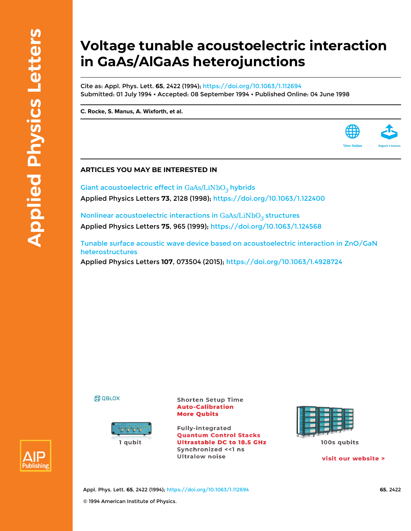## **Voltage tunable acoustoelectric interaction in GaAs/AlGaAs heterojunctions**

Cite as: Appl. Phys. Lett. **65**, 2422 (1994);<https://doi.org/10.1063/1.112694> Submitted: 01 July 1994 • Accepted: 08 September 1994 • Published Online: 04 June 1998

**[C. Rocke](https://aip.scitation.org/author/Rocke%2C+C), [S. Manus,](https://aip.scitation.org/author/Manus%2C+S) [A. Wixforth](https://aip.scitation.org/author/Wixforth%2C+A), et al.**



Giant acoustoelectric effect in  $GaAs/LiNbO<sub>3</sub>$  hybrids Applied Physics Letters **73**, 2128 (1998); <https://doi.org/10.1063/1.122400>

Nonlinear acoustoelectric interactions in  $GaAs/LiNbO<sub>3</sub>$  structures Applied Physics Letters **75**, 965 (1999); <https://doi.org/10.1063/1.124568>

[Tunable surface acoustic wave device based on acoustoelectric interaction in ZnO/GaN](https://aip.scitation.org/doi/10.1063/1.4928724) [heterostructures](https://aip.scitation.org/doi/10.1063/1.4928724) Applied Physics Letters **107**, 073504 (2015);<https://doi.org/10.1063/1.4928724>





**Shorten Setup Time Auto-Calibration More Qubits** 

**Fully-integrated Quantum Control Stacks Ultrastable DC to 18.5 GHz** Synchronized << 1 ns **Ultralow noise** 



visit our website >

**View Online** 



Appl. Phys. Lett. **65**, 2422 (1994); <https://doi.org/10.1063/1.112694> **65**, 2422 © 1994 American Institute of Physics.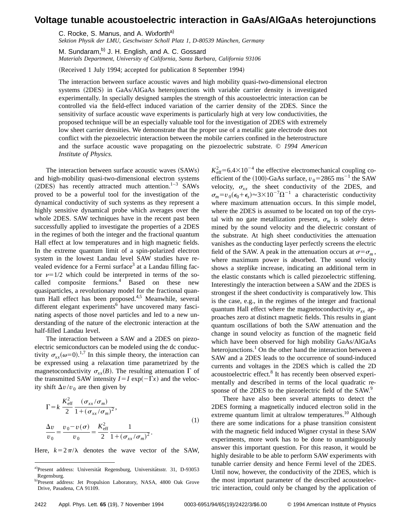## **Voltage tunable acoustoelectric interaction in GaAs/AlGaAs heterojunctions**

C. Rocke, S. Manus, and A. Wixforth<sup>a)</sup>

Sektion Physik der LMU, Geschwister Scholl Platz 1, D-80539 München, Germany

M. Sundaram,<sup>b)</sup> J. H. English, and A. C. Gossard *Materials Department, University of California, Santa Barbara, California 93106*

(Received 1 July 1994; accepted for publication 8 September 1994)

The interaction between surface acoustic waves and high mobility quasi-two-dimensional electron systems (2DES) in GaAs/AlGaAs heterojunctions with variable carrier density is investigated experimentally. In specially designed samples the strength of this acoustoelectric interaction can be controlled via the field-effect induced variation of the carrier density of the 2DES. Since the sensitivity of surface acoustic wave experiments is particularly high at very low conductivities, the proposed technique will be an especially valuable tool for the investigation of 2DES with extremely low sheet carrier densities. We demonstrate that the proper use of a metallic gate electrode does not conflict with the piezoelectric interaction between the mobile carriers confined in the heterostructure and the surface acoustic wave propagating on the piezoelectric substrate. © *1994 American Institute of Physics.*

The interaction between surface acoustic waves (SAWs) and high-mobility quasi-two-dimensional electron systems  $(2DES)$  has recently attracted much attention.<sup>1–3</sup> SAWs proved to be a powerful tool for the investigation of the dynamical conductivity of such systems as they represent a highly sensitive dynamical probe which averages over the whole 2DES. SAW techniques have in the recent past been successfully applied to investigate the properties of a 2DES in the regimes of both the integer and the fractional quantum Hall effect at low temperatures and in high magnetic fields. In the extreme quantum limit of a spin-polarized electron system in the lowest Landau level SAW studies have revealed evidence for a Fermi surface<sup>3</sup> at a Landau filling factor  $\nu=1/2$  which could be interpreted in terms of the socalled composite fermions.<sup>4</sup> Based on these new quasiparticles, a revolutionary model for the fractional quantum Hall effect has been proposed.<sup>4,5</sup> Meanwhile, several different elegant experiments<sup>6</sup> have uncovered many fascinating aspects of those novel particles and led to a new understanding of the nature of the electronic interaction at the half-filled Landau level.

The interaction between a SAW and a 2DES on piezoelectric semiconductors can be modeled using the dc conductivity  $\sigma_{xx}(\omega=0)$ <sup>1,7</sup> In this simple theory, the interaction can be expressed using a relaxation time parametrized by the magnetoconductivity  $\sigma_{rr}(B)$ . The resulting attenuation  $\Gamma$  of the transmitted SAW intensity  $I = I \exp(-\Gamma x)$  and the velocity shift  $\Delta v/v_0$  are then given by

$$
\Gamma = k \frac{K_{\text{eff}}^2}{2} \frac{(\sigma_{xx}/\sigma_m)}{1 + (\sigma_{xx}/\sigma_m)^2},
$$
  
\n
$$
\frac{\Delta v}{v_0} = \frac{v_0 - v(\sigma)}{v_0} = \frac{K_{\text{eff}}^2}{2} \frac{1}{1 + (\sigma_{xx}/\sigma_m)^2}.
$$
\n(1)

Here,  $k=2\pi/\lambda$  denotes the wave vector of the SAW,

 $K_{\text{eff}}^2$  = 6.4 $\times$ 10<sup>-4</sup> the effective electromechanical coupling coefficient of the  $(100)$ -GaAs surface,  $v_0$ =2865 ms<sup>-1</sup> the SAW velocity,  $\sigma_{xx}$  the sheet conductivity of the 2DES, and  $\sigma_m = v_0 (\epsilon_0 + \epsilon_s) \approx 3 \times 10^{-7} \Omega^{-1}$  a characteristic conductivity where maximum attenuation occurs. In this simple model, where the 2DES is assumed to be located on top of the crystal with no gate metallization present,  $\sigma_m$  is solely determined by the sound velocity and the dielectric constant of the substrate. At high sheet conductivities the attenuation vanishes as the conducting layer perfectly screens the electric field of the SAW. A peak in the attenuation occurs at  $\sigma = \sigma_m$ , where maximum power is absorbed. The sound velocity shows a steplike increase, indicating an additional term in the elastic constants which is called piezoelectric stiffening. Interestingly the interaction between a SAW and the 2DES is strongest if the sheet conductivity is comparatively low. This is the case, e.g., in the regimes of the integer and fractional quantum Hall effect where the magnetoconductivity  $\sigma_{xx}$  approaches zero at distinct magnetic fields. This results in giant quantum oscillations of both the SAW attenuation and the change in sound velocity as function of the magnetic field which have been observed for high mobility GaAs/AlGaAs heterojunctions.<sup>1</sup> On the other hand the interaction between a SAW and a 2DES leads to the occurrence of sound-induced currents and voltages in the 2DES which is called the 2D acoustoelectric effect.<sup>8</sup> It has recently been observed experimentally and described in terms of the local quadratic response of the 2DES to the piezoelectric field of the SAW.<sup>9</sup>

There have also been several attempts to detect the 2DES forming a magnetically induced electron solid in the extreme quantum limit at ultralow temperatures.<sup>10</sup> Although there are some indications for a phase transition consistent with the magnetic field induced Wigner crystal in these SAW experiments, more work has to be done to unambiguously answer this important question. For this reason, it would be highly desirable to be able to perform SAW experiments with tunable carrier density and hence Fermi level of the 2DES. Until now, however, the conductivity of the 2DES, which is the most important parameter of the described acoustoelectric interaction, could only be changed by the application of

a)Present address: Universität Regensburg, Universitätsstr. 31, D-93053 Regensburg.

b)Present address: Jet Propulsion Laboratory, NASA, 4800 Oak Grove Drive, Pasadena, CA 91109.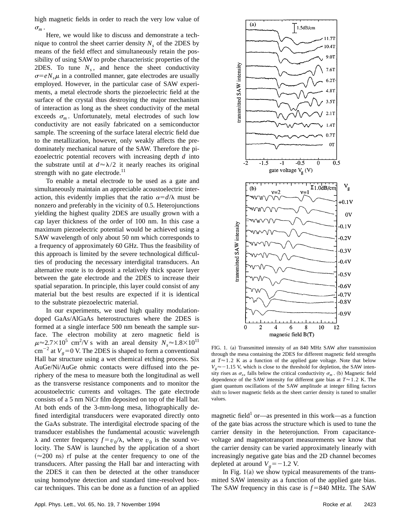high magnetic fields in order to reach the very low value of  $\sigma_m$ 

Here, we would like to discuss and demonstrate a technique to control the sheet carrier density  $N_s$  of the 2DES by means of the field effect and simultaneously retain the possibility of using SAW to probe characteristic properties of the 2DES. To tune  $N_s$ , and hence the sheet conductivity  $\sigma = eN_s\mu$  in a controlled manner, gate electrodes are usually employed. However, in the particular case of SAW experiments, a metal electrode shorts the piezoelectric field at the surface of the crystal thus destroying the major mechanism of interaction as long as the sheet conductivity of the metal exceeds  $\sigma_m$ . Unfortunately, metal electrodes of such low conductivity are not easily fabricated on a semiconductor sample. The screening of the surface lateral electric field due to the metallization, however, only weakly affects the predominately mechanical nature of the SAW. Therefore the piezoelectric potential recovers with increasing depth *d* into the substrate until at  $d \approx \lambda/2$  it nearly reaches its original strength with no gate electrode.<sup>11</sup>

To enable a metal electrode to be used as a gate and simultaneously maintain an appreciable acoustoelectric interaction, this evidently implies that the ratio  $\alpha = d/\lambda$  must be nonzero and preferably in the vicinity of 0.5. Heterojunctions yielding the highest quality 2DES are usually grown with a cap layer thickness of the order of 100 nm. In this case a maximum piezoelectric potential would be achieved using a SAW wavelength of only about 50 nm which corresponds to a frequency of approximately 60 GHz. Thus the feasibility of this approach is limited by the severe technological difficulties of producing the necessary interdigital transducers. An alternative route is to deposit a relatively thick spacer layer between the gate electrode and the 2DES to increase their spatial separation. In principle, this layer could consist of any material but the best results are expected if it is identical to the substrate piezoelectric material.

In our experiments, we used high quality modulationdoped GaAs/AlGaAs heterostructures where the 2DES is formed at a single interface 500 nm beneath the sample surface. The electron mobility at zero magnetic field is  $\mu \approx 2.7 \times 10^5$  cm<sup>2</sup>/V s with an areal density  $N_s \approx 1.8 \times 10^{11}$  $\text{cm}^{-2}$  at  $V_g$ =0 V. The 2DES is shaped to form a conventional Hall bar structure using a wet chemical etching process. Six AuGe/Ni/AuGe ohmic contacts were diffused into the periphery of the mesa to measure both the longitudinal as well as the transverse resistance components and to monitor the acoustoelectric currents and voltages. The gate electrode consists of a 5 nm NiCr film deposited on top of the Hall bar. At both ends of the 3-mm-long mesa, lithographically defined interdigital transducers were evaporated directly onto the GaAs substrate. The interdigital electrode spacing of the transducer establishes the fundamental acoustic wavelength  $\lambda$  and center frequency  $f = v_0/\lambda$ , where  $v_0$  is the sound velocity. The SAW is launched by the application of a short  $(\approx 200 \text{ ns})$  rf pulse at the center frequency to one of the transducers. After passing the Hall bar and interacting with the 2DES it can then be detected at the other transducer using homodyne detection and standard time-resolved boxcar techniques. This can be done as a function of an applied



FIG. 1. (a) Transmitted intensity of an 840 MHz SAW after transmission through the mesa containing the 2DES for different magnetic field strengths at  $T \approx 1.2$  K as a function of the applied gate voltage. Note that below  $V_e \approx -1.15$  V, which is close to the threshold for depletion, the SAW intensity rises as  $\sigma_{xx}$  falls below the critical conductivity  $\sigma_m$ . (b) Magnetic field dependence of the SAW intensity for different gate bias at  $T \approx 1.2$  K. The giant quantum oscillations of the SAW amplitude at integer filling factors shift to lower magnetic fields as the sheet carrier density is tuned to smaller values.

magnetic field<sup>1</sup> or—as presented in this work—as a function of the gate bias across the structure which is used to tune the carrier density in the heterojunction. From capacitancevoltage and magnetotransport measurements we know that the carrier density can be varied approximately linearly with increasingly negative gate bias and the 2D channel becomes depleted at around  $V_g = -1.2$  V.

In Fig.  $1(a)$  we show typical measurements of the transmitted SAW intensity as a function of the applied gate bias. The SAW frequency in this case is  $f = 840$  MHz. The SAW